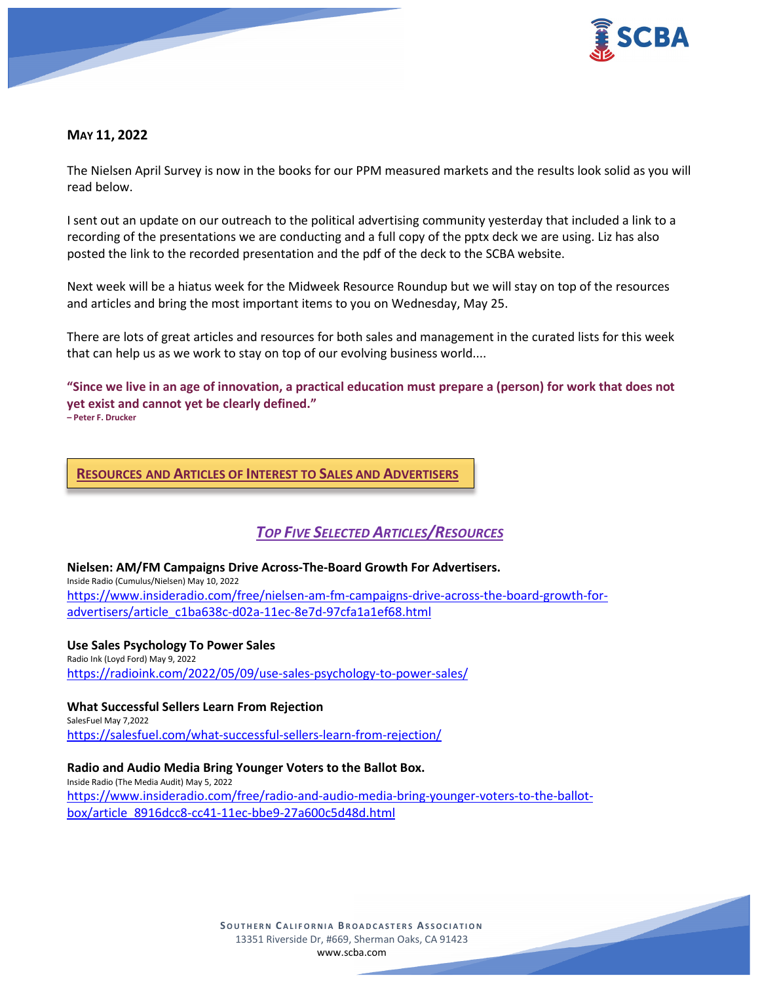

# **MAY 11, 2022**

The Nielsen April Survey is now in the books for our PPM measured markets and the results look solid as you will read below.

I sent out an update on our outreach to the political advertising community yesterday that included a link to a recording of the presentations we are conducting and a full copy of the pptx deck we are using. Liz has also posted the link to the recorded presentation and the pdf of the deck to the SCBA website.

Next week will be a hiatus week for the Midweek Resource Roundup but we will stay on top of the resources and articles and bring the most important items to you on Wednesday, May 25.

There are lots of great articles and resources for both sales and management in the curated lists for this week that can help us as we work to stay on top of our evolving business world....

**"Since we live in an age of innovation, a practical education must prepare a (person) for work that does not yet exist and cannot yet be clearly defined." – Peter F. Drucker**

**RESOURCES AND ARTICLES OF INTEREST TO SALES AND ADVERTISERS**

# *TOP FIVE SELECTED ARTICLES/RESOURCES*

**Nielsen: AM/FM Campaigns Drive Across-The-Board Growth For Advertisers.** Inside Radio (Cumulus/Nielsen) May 10, 2022 [https://www.insideradio.com/free/nielsen-am-fm-campaigns-drive-across-the-board-growth-for](https://www.insideradio.com/free/nielsen-am-fm-campaigns-drive-across-the-board-growth-for-advertisers/article_c1ba638c-d02a-11ec-8e7d-97cfa1a1ef68.html)[advertisers/article\\_c1ba638c-d02a-11ec-8e7d-97cfa1a1ef68.html](https://www.insideradio.com/free/nielsen-am-fm-campaigns-drive-across-the-board-growth-for-advertisers/article_c1ba638c-d02a-11ec-8e7d-97cfa1a1ef68.html)

**Use Sales Psychology To Power Sales** Radio Ink (Loyd Ford) May 9, 2022 <https://radioink.com/2022/05/09/use-sales-psychology-to-power-sales/>

**What Successful Sellers Learn From Rejection** SalesFuel May 7,2022 <https://salesfuel.com/what-successful-sellers-learn-from-rejection/>

**Radio and Audio Media Bring Younger Voters to the Ballot Box.** Inside Radio (The Media Audit) May 5, 2022 [https://www.insideradio.com/free/radio-and-audio-media-bring-younger-voters-to-the-ballot](https://www.insideradio.com/free/radio-and-audio-media-bring-younger-voters-to-the-ballot-box/article_8916dcc8-cc41-11ec-bbe9-27a600c5d48d.html)[box/article\\_8916dcc8-cc41-11ec-bbe9-27a600c5d48d.html](https://www.insideradio.com/free/radio-and-audio-media-bring-younger-voters-to-the-ballot-box/article_8916dcc8-cc41-11ec-bbe9-27a600c5d48d.html)

> **SOUTHERN C ALIFORNIA B ROADCASTERS ASSOCIATION** 13351 Riverside Dr, #669, Sherman Oaks, CA 91423 [www.scba.com](http://www.scba.com/)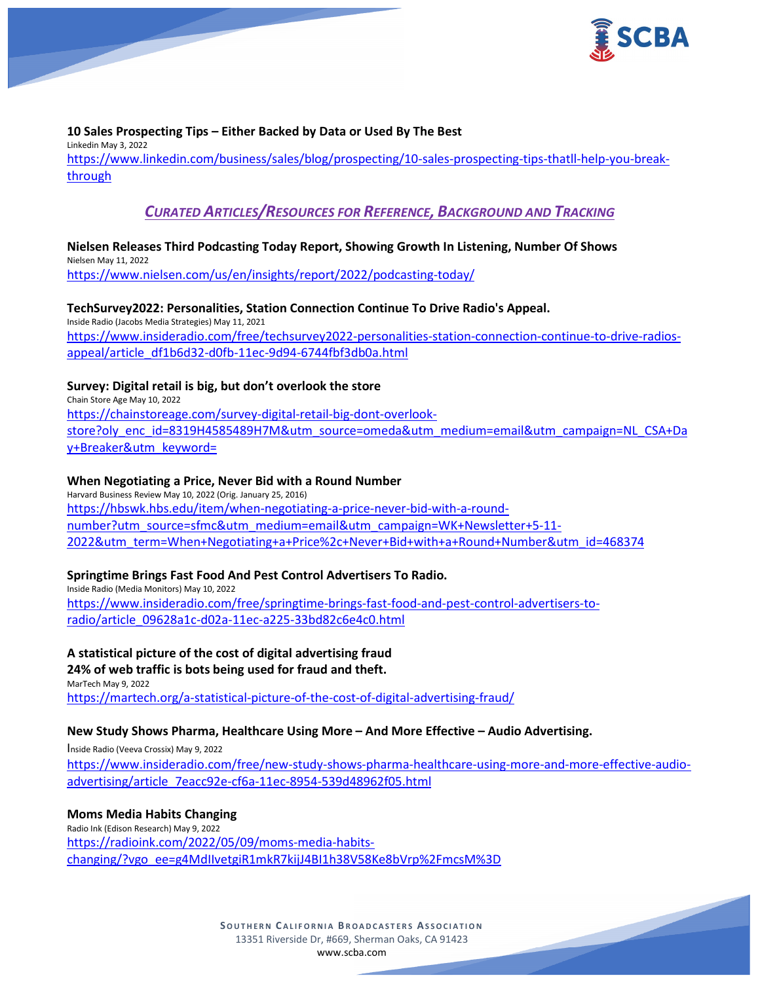

# **10 Sales Prospecting Tips – Either Backed by Data or Used By The Best**

Linkedin May 3, 2022 [https://www.linkedin.com/business/sales/blog/prospecting/10-sales-prospecting-tips-thatll-help-you-break](https://www.linkedin.com/business/sales/blog/prospecting/10-sales-prospecting-tips-thatll-help-you-break-through)[through](https://www.linkedin.com/business/sales/blog/prospecting/10-sales-prospecting-tips-thatll-help-you-break-through)

# *CURATED ARTICLES/RESOURCES FOR REFERENCE, BACKGROUND AND TRACKING*

# **Nielsen Releases Third Podcasting Today Report, Showing Growth In Listening, Number Of Shows**

Nielsen May 11, 2022 <https://www.nielsen.com/us/en/insights/report/2022/podcasting-today/>

# **TechSurvey2022: Personalities, Station Connection Continue To Drive Radio's Appeal.**

Inside Radio (Jacobs Media Strategies) May 11, 2021 [https://www.insideradio.com/free/techsurvey2022-personalities-station-connection-continue-to-drive-radios](https://www.insideradio.com/free/techsurvey2022-personalities-station-connection-continue-to-drive-radios-appeal/article_df1b6d32-d0fb-11ec-9d94-6744fbf3db0a.html)[appeal/article\\_df1b6d32-d0fb-11ec-9d94-6744fbf3db0a.html](https://www.insideradio.com/free/techsurvey2022-personalities-station-connection-continue-to-drive-radios-appeal/article_df1b6d32-d0fb-11ec-9d94-6744fbf3db0a.html)

# **Survey: Digital retail is big, but don't overlook the store**

Chain Store Age May 10, 2022 [https://chainstoreage.com/survey-digital-retail-big-dont-overlook](https://chainstoreage.com/survey-digital-retail-big-dont-overlook-store?oly_enc_id=8319H4585489H7M&utm_source=omeda&utm_medium=email&utm_campaign=NL_CSA+Day+Breaker&utm_keyword=)[store?oly\\_enc\\_id=8319H4585489H7M&utm\\_source=omeda&utm\\_medium=email&utm\\_campaign=NL\\_CSA+Da](https://chainstoreage.com/survey-digital-retail-big-dont-overlook-store?oly_enc_id=8319H4585489H7M&utm_source=omeda&utm_medium=email&utm_campaign=NL_CSA+Day+Breaker&utm_keyword=) [y+Breaker&utm\\_keyword=](https://chainstoreage.com/survey-digital-retail-big-dont-overlook-store?oly_enc_id=8319H4585489H7M&utm_source=omeda&utm_medium=email&utm_campaign=NL_CSA+Day+Breaker&utm_keyword=)

# **When Negotiating a Price, Never Bid with a Round Number**

Harvard Business Review May 10, 2022 (Orig. January 25, 2016) [https://hbswk.hbs.edu/item/when-negotiating-a-price-never-bid-with-a-round](https://hbswk.hbs.edu/item/when-negotiating-a-price-never-bid-with-a-round-number?utm_source=sfmc&utm_medium=email&utm_campaign=WK+Newsletter+5-11-2022&utm_term=When+Negotiating+a+Price%2c+Never+Bid+with+a+Round+Number&utm_id=468374)[number?utm\\_source=sfmc&utm\\_medium=email&utm\\_campaign=WK+Newsletter+5-11-](https://hbswk.hbs.edu/item/when-negotiating-a-price-never-bid-with-a-round-number?utm_source=sfmc&utm_medium=email&utm_campaign=WK+Newsletter+5-11-2022&utm_term=When+Negotiating+a+Price%2c+Never+Bid+with+a+Round+Number&utm_id=468374) [2022&utm\\_term=When+Negotiating+a+Price%2c+Never+Bid+with+a+Round+Number&utm\\_id=468374](https://hbswk.hbs.edu/item/when-negotiating-a-price-never-bid-with-a-round-number?utm_source=sfmc&utm_medium=email&utm_campaign=WK+Newsletter+5-11-2022&utm_term=When+Negotiating+a+Price%2c+Never+Bid+with+a+Round+Number&utm_id=468374)

# **Springtime Brings Fast Food And Pest Control Advertisers To Radio.**

Inside Radio (Media Monitors) May 10, 2022 [https://www.insideradio.com/free/springtime-brings-fast-food-and-pest-control-advertisers-to](https://www.insideradio.com/free/springtime-brings-fast-food-and-pest-control-advertisers-to-radio/article_09628a1c-d02a-11ec-a225-33bd82c6e4c0.html)[radio/article\\_09628a1c-d02a-11ec-a225-33bd82c6e4c0.html](https://www.insideradio.com/free/springtime-brings-fast-food-and-pest-control-advertisers-to-radio/article_09628a1c-d02a-11ec-a225-33bd82c6e4c0.html)

**A statistical picture of the cost of digital advertising fraud 24% of web traffic is bots being used for fraud and theft.** MarTech May 9, 2022 <https://martech.org/a-statistical-picture-of-the-cost-of-digital-advertising-fraud/>

# **New Study Shows Pharma, Healthcare Using More – And More Effective – Audio Advertising.**

Inside Radio (Veeva Crossix) May 9, 2022

[https://www.insideradio.com/free/new-study-shows-pharma-healthcare-using-more-and-more-effective-audio](https://www.insideradio.com/free/new-study-shows-pharma-healthcare-using-more-and-more-effective-audio-advertising/article_7eacc92e-cf6a-11ec-8954-539d48962f05.html)[advertising/article\\_7eacc92e-cf6a-11ec-8954-539d48962f05.html](https://www.insideradio.com/free/new-study-shows-pharma-healthcare-using-more-and-more-effective-audio-advertising/article_7eacc92e-cf6a-11ec-8954-539d48962f05.html)

# **Moms Media Habits Changing**

Radio Ink (Edison Research) May 9, 2022 [https://radioink.com/2022/05/09/moms-media-habits](https://radioink.com/2022/05/09/moms-media-habits-changing/?vgo_ee=g4MdIIvetgiR1mkR7kijJ4BI1h38V58Ke8bVrp%2FmcsM%3D)[changing/?vgo\\_ee=g4MdIIvetgiR1mkR7kijJ4BI1h38V58Ke8bVrp%2FmcsM%3D](https://radioink.com/2022/05/09/moms-media-habits-changing/?vgo_ee=g4MdIIvetgiR1mkR7kijJ4BI1h38V58Ke8bVrp%2FmcsM%3D)

> **SOUTHERN C ALIFORNIA B ROADCASTERS ASSOCIATION** 13351 Riverside Dr, #669, Sherman Oaks, CA 91423 [www.scba.com](http://www.scba.com/)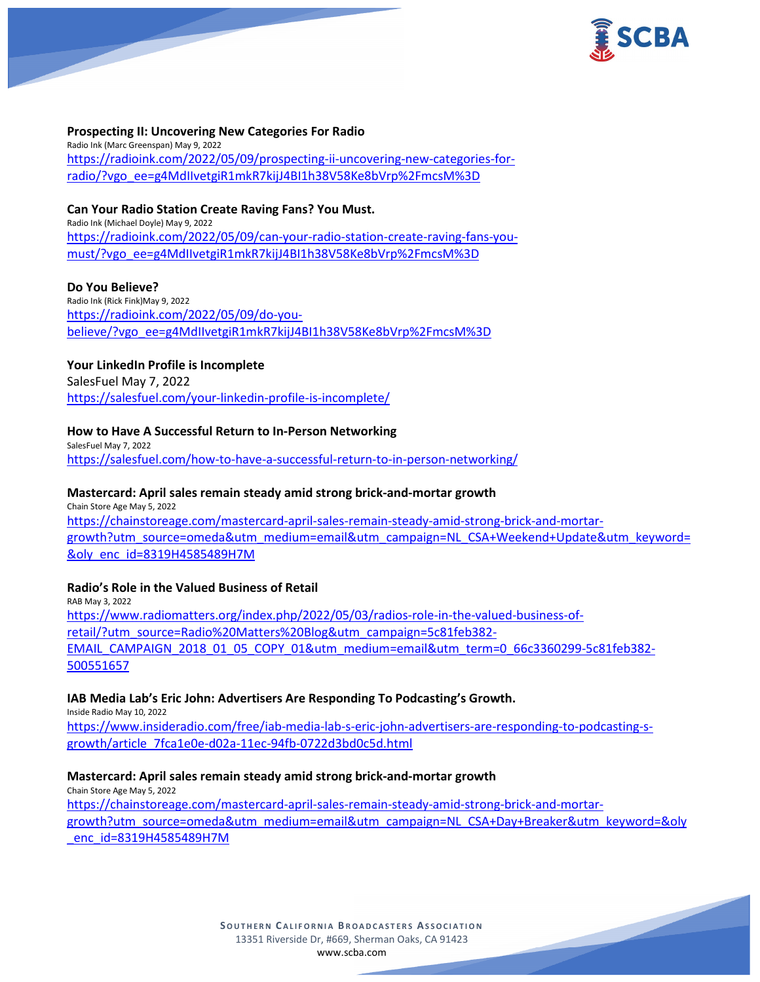

### **Prospecting II: Uncovering New Categories For Radio**

Radio Ink (Marc Greenspan) May 9, 2022 [https://radioink.com/2022/05/09/prospecting-ii-uncovering-new-categories-for](https://radioink.com/2022/05/09/prospecting-ii-uncovering-new-categories-for-radio/?vgo_ee=g4MdIIvetgiR1mkR7kijJ4BI1h38V58Ke8bVrp%2FmcsM%3D)[radio/?vgo\\_ee=g4MdIIvetgiR1mkR7kijJ4BI1h38V58Ke8bVrp%2FmcsM%3D](https://radioink.com/2022/05/09/prospecting-ii-uncovering-new-categories-for-radio/?vgo_ee=g4MdIIvetgiR1mkR7kijJ4BI1h38V58Ke8bVrp%2FmcsM%3D)

### **Can Your Radio Station Create Raving Fans? You Must.**

Radio Ink (Michael Doyle) May 9, 2022 [https://radioink.com/2022/05/09/can-your-radio-station-create-raving-fans-you](https://radioink.com/2022/05/09/can-your-radio-station-create-raving-fans-you-must/?vgo_ee=g4MdIIvetgiR1mkR7kijJ4BI1h38V58Ke8bVrp%2FmcsM%3D)[must/?vgo\\_ee=g4MdIIvetgiR1mkR7kijJ4BI1h38V58Ke8bVrp%2FmcsM%3D](https://radioink.com/2022/05/09/can-your-radio-station-create-raving-fans-you-must/?vgo_ee=g4MdIIvetgiR1mkR7kijJ4BI1h38V58Ke8bVrp%2FmcsM%3D)

### **Do You Believe?**

Radio Ink (Rick Fink)May 9, 2022 [https://radioink.com/2022/05/09/do-you](https://radioink.com/2022/05/09/do-you-believe/?vgo_ee=g4MdIIvetgiR1mkR7kijJ4BI1h38V58Ke8bVrp%2FmcsM%3D)[believe/?vgo\\_ee=g4MdIIvetgiR1mkR7kijJ4BI1h38V58Ke8bVrp%2FmcsM%3D](https://radioink.com/2022/05/09/do-you-believe/?vgo_ee=g4MdIIvetgiR1mkR7kijJ4BI1h38V58Ke8bVrp%2FmcsM%3D)

# **Your LinkedIn Profile is Incomplete**

SalesFuel May 7, 2022 <https://salesfuel.com/your-linkedin-profile-is-incomplete/>

# **How to Have A Successful Return to In-Person Networking**

SalesFuel May 7, 2022 <https://salesfuel.com/how-to-have-a-successful-return-to-in-person-networking/>

## **Mastercard: April sales remain steady amid strong brick-and-mortar growth**

Chain Store Age May 5, 2022 [https://chainstoreage.com/mastercard-april-sales-remain-steady-amid-strong-brick-and-mortar](https://chainstoreage.com/mastercard-april-sales-remain-steady-amid-strong-brick-and-mortar-growth?utm_source=omeda&utm_medium=email&utm_campaign=NL_CSA+Weekend+Update&utm_keyword=&oly_enc_id=8319H4585489H7M)[growth?utm\\_source=omeda&utm\\_medium=email&utm\\_campaign=NL\\_CSA+Weekend+Update&utm\\_keyword=](https://chainstoreage.com/mastercard-april-sales-remain-steady-amid-strong-brick-and-mortar-growth?utm_source=omeda&utm_medium=email&utm_campaign=NL_CSA+Weekend+Update&utm_keyword=&oly_enc_id=8319H4585489H7M) [&oly\\_enc\\_id=8319H4585489H7M](https://chainstoreage.com/mastercard-april-sales-remain-steady-amid-strong-brick-and-mortar-growth?utm_source=omeda&utm_medium=email&utm_campaign=NL_CSA+Weekend+Update&utm_keyword=&oly_enc_id=8319H4585489H7M)

# **Radio's Role in the Valued Business of Retail**

RAB May 3, 2022 [https://www.radiomatters.org/index.php/2022/05/03/radios-role-in-the-valued-business-of](https://www.radiomatters.org/index.php/2022/05/03/radios-role-in-the-valued-business-of-retail/?utm_source=Radio%20Matters%20Blog&utm_campaign=5c81feb382-EMAIL_CAMPAIGN_2018_01_05_COPY_01&utm_medium=email&utm_term=0_66c3360299-5c81feb382-500551657)[retail/?utm\\_source=Radio%20Matters%20Blog&utm\\_campaign=5c81feb382-](https://www.radiomatters.org/index.php/2022/05/03/radios-role-in-the-valued-business-of-retail/?utm_source=Radio%20Matters%20Blog&utm_campaign=5c81feb382-EMAIL_CAMPAIGN_2018_01_05_COPY_01&utm_medium=email&utm_term=0_66c3360299-5c81feb382-500551657) [EMAIL\\_CAMPAIGN\\_2018\\_01\\_05\\_COPY\\_01&utm\\_medium=email&utm\\_term=0\\_66c3360299-5c81feb382-](https://www.radiomatters.org/index.php/2022/05/03/radios-role-in-the-valued-business-of-retail/?utm_source=Radio%20Matters%20Blog&utm_campaign=5c81feb382-EMAIL_CAMPAIGN_2018_01_05_COPY_01&utm_medium=email&utm_term=0_66c3360299-5c81feb382-500551657) [500551657](https://www.radiomatters.org/index.php/2022/05/03/radios-role-in-the-valued-business-of-retail/?utm_source=Radio%20Matters%20Blog&utm_campaign=5c81feb382-EMAIL_CAMPAIGN_2018_01_05_COPY_01&utm_medium=email&utm_term=0_66c3360299-5c81feb382-500551657)

### **IAB Media Lab's Eric John: Advertisers Are Responding To Podcasting's Growth.**

Inside Radio May 10, 2022

[https://www.insideradio.com/free/iab-media-lab-s-eric-john-advertisers-are-responding-to-podcasting-s](https://www.insideradio.com/free/iab-media-lab-s-eric-john-advertisers-are-responding-to-podcasting-s-growth/article_7fca1e0e-d02a-11ec-94fb-0722d3bd0c5d.html)[growth/article\\_7fca1e0e-d02a-11ec-94fb-0722d3bd0c5d.html](https://www.insideradio.com/free/iab-media-lab-s-eric-john-advertisers-are-responding-to-podcasting-s-growth/article_7fca1e0e-d02a-11ec-94fb-0722d3bd0c5d.html)

# **Mastercard: April sales remain steady amid strong brick-and-mortar growth**

Chain Store Age May 5, 2022 [https://chainstoreage.com/mastercard-april-sales-remain-steady-amid-strong-brick-and-mortar](https://chainstoreage.com/mastercard-april-sales-remain-steady-amid-strong-brick-and-mortar-growth?utm_source=omeda&utm_medium=email&utm_campaign=NL_CSA+Day+Breaker&utm_keyword=&oly_enc_id=8319H4585489H7M)[growth?utm\\_source=omeda&utm\\_medium=email&utm\\_campaign=NL\\_CSA+Day+Breaker&utm\\_keyword=&oly](https://chainstoreage.com/mastercard-april-sales-remain-steady-amid-strong-brick-and-mortar-growth?utm_source=omeda&utm_medium=email&utm_campaign=NL_CSA+Day+Breaker&utm_keyword=&oly_enc_id=8319H4585489H7M) [\\_enc\\_id=8319H4585489H7M](https://chainstoreage.com/mastercard-april-sales-remain-steady-amid-strong-brick-and-mortar-growth?utm_source=omeda&utm_medium=email&utm_campaign=NL_CSA+Day+Breaker&utm_keyword=&oly_enc_id=8319H4585489H7M)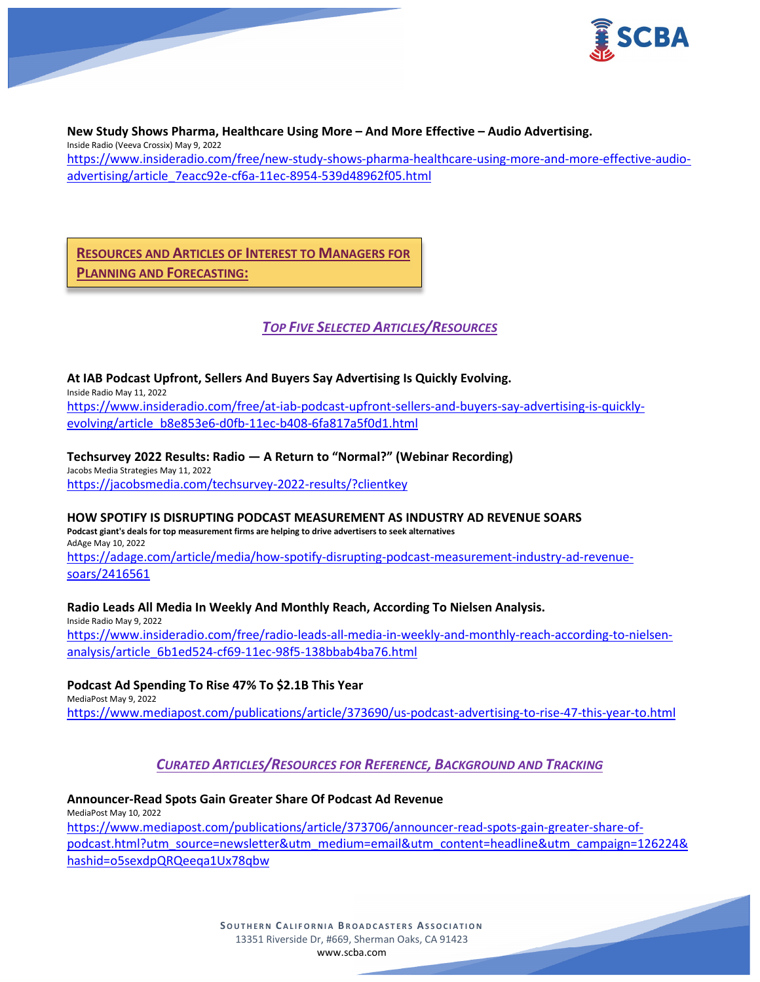

**New Study Shows Pharma, Healthcare Using More – And More Effective – Audio Advertising.** Inside Radio (Veeva Crossix) May 9, 2022 [https://www.insideradio.com/free/new-study-shows-pharma-healthcare-using-more-and-more-effective-audio](https://www.insideradio.com/free/new-study-shows-pharma-healthcare-using-more-and-more-effective-audio-advertising/article_7eacc92e-cf6a-11ec-8954-539d48962f05.html)[advertising/article\\_7eacc92e-cf6a-11ec-8954-539d48962f05.html](https://www.insideradio.com/free/new-study-shows-pharma-healthcare-using-more-and-more-effective-audio-advertising/article_7eacc92e-cf6a-11ec-8954-539d48962f05.html)

# **RESOURCES AND ARTICLES OF INTEREST TO MANAGERS FOR PLANNING AND FORECASTING:**

# *TOP FIVE SELECTED ARTICLES/RESOURCES*

### **At IAB Podcast Upfront, Sellers And Buyers Say Advertising Is Quickly Evolving.**

Inside Radio May 11, 2022 [https://www.insideradio.com/free/at-iab-podcast-upfront-sellers-and-buyers-say-advertising-is-quickly](https://www.insideradio.com/free/at-iab-podcast-upfront-sellers-and-buyers-say-advertising-is-quickly-evolving/article_b8e853e6-d0fb-11ec-b408-6fa817a5f0d1.html)[evolving/article\\_b8e853e6-d0fb-11ec-b408-6fa817a5f0d1.html](https://www.insideradio.com/free/at-iab-podcast-upfront-sellers-and-buyers-say-advertising-is-quickly-evolving/article_b8e853e6-d0fb-11ec-b408-6fa817a5f0d1.html)

# **Techsurvey 2022 Results: Radio — A Return to "Normal?" (Webinar Recording)**

Jacobs Media Strategies May 11, 2022 <https://jacobsmedia.com/techsurvey-2022-results/?clientkey>

### **HOW SPOTIFY IS DISRUPTING PODCAST MEASUREMENT AS INDUSTRY AD REVENUE SOARS**

**Podcast giant's deals for top measurement firms are helping to drive advertisers to seek alternatives** AdAge May 10, 2022 [https://adage.com/article/media/how-spotify-disrupting-podcast-measurement-industry-ad-revenue-](https://adage.com/article/media/how-spotify-disrupting-podcast-measurement-industry-ad-revenue-soars/2416561)

[soars/2416561](https://adage.com/article/media/how-spotify-disrupting-podcast-measurement-industry-ad-revenue-soars/2416561)

# **Radio Leads All Media In Weekly And Monthly Reach, According To Nielsen Analysis.**

Inside Radio May 9, 2022 [https://www.insideradio.com/free/radio-leads-all-media-in-weekly-and-monthly-reach-according-to-nielsen](https://www.insideradio.com/free/radio-leads-all-media-in-weekly-and-monthly-reach-according-to-nielsen-analysis/article_6b1ed524-cf69-11ec-98f5-138bbab4ba76.html)[analysis/article\\_6b1ed524-cf69-11ec-98f5-138bbab4ba76.html](https://www.insideradio.com/free/radio-leads-all-media-in-weekly-and-monthly-reach-according-to-nielsen-analysis/article_6b1ed524-cf69-11ec-98f5-138bbab4ba76.html)

### **Podcast Ad Spending To Rise 47% To \$2.1B This Year**

MediaPost May 9, 2022 <https://www.mediapost.com/publications/article/373690/us-podcast-advertising-to-rise-47-this-year-to.html>

# *CURATED ARTICLES/RESOURCES FOR REFERENCE, BACKGROUND AND TRACKING*

#### **Announcer-Read Spots Gain Greater Share Of Podcast Ad Revenue** MediaPost May 10, 2022

[https://www.mediapost.com/publications/article/373706/announcer-read-spots-gain-greater-share-of](https://www.mediapost.com/publications/article/373706/announcer-read-spots-gain-greater-share-of-podcast.html?utm_source=newsletter&utm_medium=email&utm_content=headline&utm_campaign=126224&hashid=o5sexdpQRQeeqa1Ux78qbw)[podcast.html?utm\\_source=newsletter&utm\\_medium=email&utm\\_content=headline&utm\\_campaign=126224&](https://www.mediapost.com/publications/article/373706/announcer-read-spots-gain-greater-share-of-podcast.html?utm_source=newsletter&utm_medium=email&utm_content=headline&utm_campaign=126224&hashid=o5sexdpQRQeeqa1Ux78qbw) [hashid=o5sexdpQRQeeqa1Ux78qbw](https://www.mediapost.com/publications/article/373706/announcer-read-spots-gain-greater-share-of-podcast.html?utm_source=newsletter&utm_medium=email&utm_content=headline&utm_campaign=126224&hashid=o5sexdpQRQeeqa1Ux78qbw)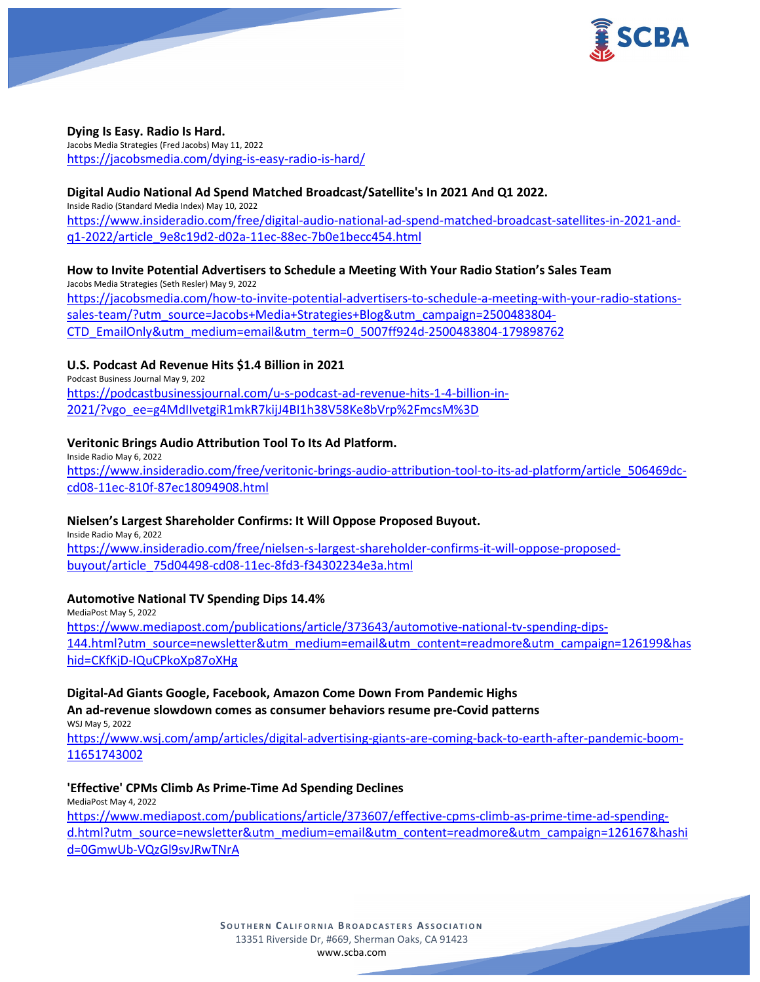

# **Dying Is Easy. Radio Is Hard.**

Jacobs Media Strategies (Fred Jacobs) May 11, 2022 <https://jacobsmedia.com/dying-is-easy-radio-is-hard/>

### **Digital Audio National Ad Spend Matched Broadcast/Satellite's In 2021 And Q1 2022.**

Inside Radio (Standard Media Index) May 10, 2022

[https://www.insideradio.com/free/digital-audio-national-ad-spend-matched-broadcast-satellites-in-2021-and](https://www.insideradio.com/free/digital-audio-national-ad-spend-matched-broadcast-satellites-in-2021-and-q1-2022/article_9e8c19d2-d02a-11ec-88ec-7b0e1becc454.html)[q1-2022/article\\_9e8c19d2-d02a-11ec-88ec-7b0e1becc454.html](https://www.insideradio.com/free/digital-audio-national-ad-spend-matched-broadcast-satellites-in-2021-and-q1-2022/article_9e8c19d2-d02a-11ec-88ec-7b0e1becc454.html)

#### **How to Invite Potential Advertisers to Schedule a Meeting With Your Radio Station's Sales Team** Jacobs Media Strategies (Seth Resler) May 9, 2022

[https://jacobsmedia.com/how-to-invite-potential-advertisers-to-schedule-a-meeting-with-your-radio-stations](https://jacobsmedia.com/how-to-invite-potential-advertisers-to-schedule-a-meeting-with-your-radio-stations-sales-team/?utm_source=Jacobs+Media+Strategies+Blog&utm_campaign=2500483804-CTD_EmailOnly&utm_medium=email&utm_term=0_5007ff924d-2500483804-179898762)[sales-team/?utm\\_source=Jacobs+Media+Strategies+Blog&utm\\_campaign=2500483804-](https://jacobsmedia.com/how-to-invite-potential-advertisers-to-schedule-a-meeting-with-your-radio-stations-sales-team/?utm_source=Jacobs+Media+Strategies+Blog&utm_campaign=2500483804-CTD_EmailOnly&utm_medium=email&utm_term=0_5007ff924d-2500483804-179898762) [CTD\\_EmailOnly&utm\\_medium=email&utm\\_term=0\\_5007ff924d-2500483804-179898762](https://jacobsmedia.com/how-to-invite-potential-advertisers-to-schedule-a-meeting-with-your-radio-stations-sales-team/?utm_source=Jacobs+Media+Strategies+Blog&utm_campaign=2500483804-CTD_EmailOnly&utm_medium=email&utm_term=0_5007ff924d-2500483804-179898762)

# **U.S. Podcast Ad Revenue Hits \$1.4 Billion in 2021**

Podcast Business Journal May 9, 202 [https://podcastbusinessjournal.com/u-s-podcast-ad-revenue-hits-1-4-billion-in-](https://podcastbusinessjournal.com/u-s-podcast-ad-revenue-hits-1-4-billion-in-2021/?vgo_ee=g4MdIIvetgiR1mkR7kijJ4BI1h38V58Ke8bVrp%2FmcsM%3D)[2021/?vgo\\_ee=g4MdIIvetgiR1mkR7kijJ4BI1h38V58Ke8bVrp%2FmcsM%3D](https://podcastbusinessjournal.com/u-s-podcast-ad-revenue-hits-1-4-billion-in-2021/?vgo_ee=g4MdIIvetgiR1mkR7kijJ4BI1h38V58Ke8bVrp%2FmcsM%3D)

# **Veritonic Brings Audio Attribution Tool To Its Ad Platform.**

Inside Radio May 6, 2022 [https://www.insideradio.com/free/veritonic-brings-audio-attribution-tool-to-its-ad-platform/article\\_506469dc](https://www.insideradio.com/free/veritonic-brings-audio-attribution-tool-to-its-ad-platform/article_506469dc-cd08-11ec-810f-87ec18094908.html)[cd08-11ec-810f-87ec18094908.html](https://www.insideradio.com/free/veritonic-brings-audio-attribution-tool-to-its-ad-platform/article_506469dc-cd08-11ec-810f-87ec18094908.html)

### **Nielsen's Largest Shareholder Confirms: It Will Oppose Proposed Buyout.**

Inside Radio May 6, 2022 [https://www.insideradio.com/free/nielsen-s-largest-shareholder-confirms-it-will-oppose-proposed](https://www.insideradio.com/free/nielsen-s-largest-shareholder-confirms-it-will-oppose-proposed-buyout/article_75d04498-cd08-11ec-8fd3-f34302234e3a.html)[buyout/article\\_75d04498-cd08-11ec-8fd3-f34302234e3a.html](https://www.insideradio.com/free/nielsen-s-largest-shareholder-confirms-it-will-oppose-proposed-buyout/article_75d04498-cd08-11ec-8fd3-f34302234e3a.html)

### **Automotive National TV Spending Dips 14.4%**

MediaPost May 5, 2022 [https://www.mediapost.com/publications/article/373643/automotive-national-tv-spending-dips-](https://www.mediapost.com/publications/article/373643/automotive-national-tv-spending-dips-144.html?utm_source=newsletter&utm_medium=email&utm_content=readmore&utm_campaign=126199&hashid=CKfKjD-IQuCPkoXp87oXHg)[144.html?utm\\_source=newsletter&utm\\_medium=email&utm\\_content=readmore&utm\\_campaign=126199&has](https://www.mediapost.com/publications/article/373643/automotive-national-tv-spending-dips-144.html?utm_source=newsletter&utm_medium=email&utm_content=readmore&utm_campaign=126199&hashid=CKfKjD-IQuCPkoXp87oXHg) [hid=CKfKjD-IQuCPkoXp87oXHg](https://www.mediapost.com/publications/article/373643/automotive-national-tv-spending-dips-144.html?utm_source=newsletter&utm_medium=email&utm_content=readmore&utm_campaign=126199&hashid=CKfKjD-IQuCPkoXp87oXHg)

# **Digital-Ad Giants Google, Facebook, Amazon Come Down From Pandemic Highs**

**An ad-revenue slowdown comes as consumer behaviors resume pre-Covid patterns** WSJ May 5, 2022

[https://www.wsj.com/amp/articles/digital-advertising-giants-are-coming-back-to-earth-after-pandemic-boom-](https://www.wsj.com/amp/articles/digital-advertising-giants-are-coming-back-to-earth-after-pandemic-boom-11651743002)[11651743002](https://www.wsj.com/amp/articles/digital-advertising-giants-are-coming-back-to-earth-after-pandemic-boom-11651743002)

### **'Effective' CPMs Climb As Prime-Time Ad Spending Declines**

MediaPost May 4, 2022 [https://www.mediapost.com/publications/article/373607/effective-cpms-climb-as-prime-time-ad-spending](https://www.mediapost.com/publications/article/373607/effective-cpms-climb-as-prime-time-ad-spending-d.html?utm_source=newsletter&utm_medium=email&utm_content=readmore&utm_campaign=126167&hashid=0GmwUb-VQzGl9svJRwTNrA)[d.html?utm\\_source=newsletter&utm\\_medium=email&utm\\_content=readmore&utm\\_campaign=126167&hashi](https://www.mediapost.com/publications/article/373607/effective-cpms-climb-as-prime-time-ad-spending-d.html?utm_source=newsletter&utm_medium=email&utm_content=readmore&utm_campaign=126167&hashid=0GmwUb-VQzGl9svJRwTNrA) [d=0GmwUb-VQzGl9svJRwTNrA](https://www.mediapost.com/publications/article/373607/effective-cpms-climb-as-prime-time-ad-spending-d.html?utm_source=newsletter&utm_medium=email&utm_content=readmore&utm_campaign=126167&hashid=0GmwUb-VQzGl9svJRwTNrA)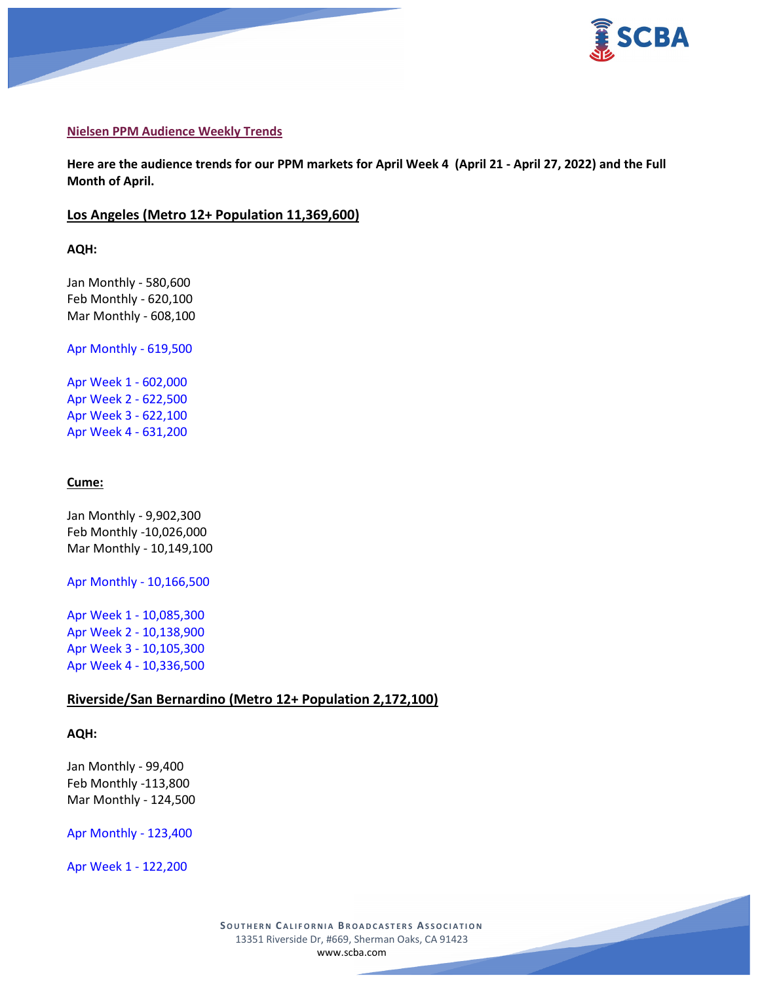

### **Nielsen PPM Audience Weekly Trends**

**Here are the audience trends for our PPM markets for April Week 4 (April 21 - April 27, 2022) and the Full Month of April.** 

## **Los Angeles (Metro 12+ Population 11,369,600)**

**AQH:**

Jan Monthly - 580,600 Feb Monthly - 620,100 Mar Monthly - 608,100

Apr Monthly - 619,500

Apr Week 1 - 602,000 Apr Week 2 - 622,500 Apr Week 3 - 622,100 Apr Week 4 - 631,200

#### **Cume:**

Jan Monthly - 9,902,300 Feb Monthly -10,026,000 Mar Monthly - 10,149,100

Apr Monthly - 10,166,500

Apr Week 1 - 10,085,300 Apr Week 2 - 10,138,900 Apr Week 3 - 10,105,300 Apr Week 4 - 10,336,500

# **Riverside/San Bernardino (Metro 12+ Population 2,172,100)**

#### **AQH:**

Jan Monthly - 99,400 Feb Monthly -113,800 Mar Monthly - 124,500

Apr Monthly - 123,400

Apr Week 1 - 122,200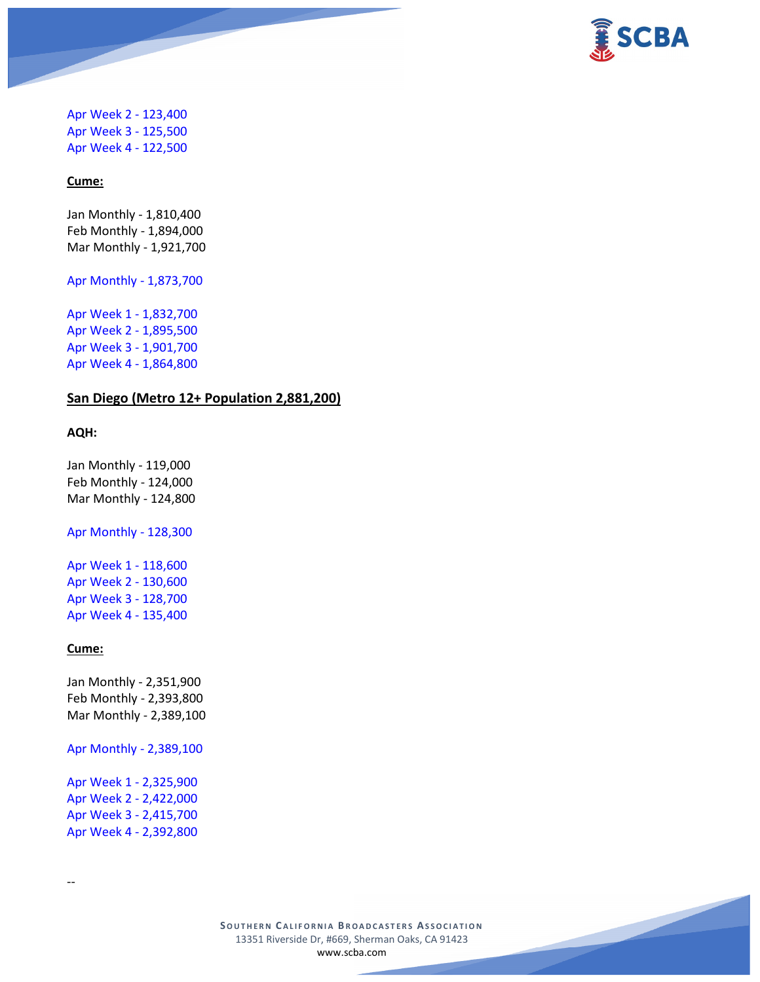

Apr Week 2 - 123,400 Apr Week 3 - 125,500 Apr Week 4 - 122,500

#### **Cume:**

Jan Monthly - 1,810,400 Feb Monthly - 1,894,000 Mar Monthly - 1,921,700

Apr Monthly - 1,873,700

Apr Week 1 - 1,832,700 Apr Week 2 - 1,895,500 Apr Week 3 - 1,901,700 Apr Week 4 - 1,864,800

# **San Diego (Metro 12+ Population 2,881,200)**

## **AQH:**

Jan Monthly - 119,000 Feb Monthly - 124,000 Mar Monthly - 124,800

Apr Monthly - 128,300

Apr Week 1 - 118,600 Apr Week 2 - 130,600 Apr Week 3 - 128,700 Apr Week 4 - 135,400

# **Cume:**

--

Jan Monthly - 2,351,900 Feb Monthly - 2,393,800 Mar Monthly - 2,389,100

Apr Monthly - 2,389,100

Apr Week 1 - 2,325,900 Apr Week 2 - 2,422,000 Apr Week 3 - 2,415,700 Apr Week 4 - 2,392,800

> **SOUTHERN C ALIFORNIA B ROADCASTERS ASSOCIATION** 13351 Riverside Dr, #669, Sherman Oaks, CA 91423 [www.scba.com](http://www.scba.com/)